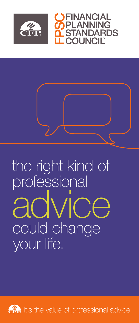



### the right kind of professional advice could change your life.

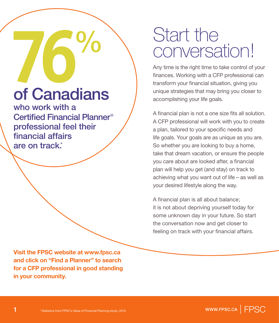# **76**  $\frac{9}{6}$ of Canadians

who work with a Certified Financial Planner® professional feel their financial affairs are on track.<sup>\*</sup>

**Visit the FPSC website at www.fpsc.ca and click on "Find a Planner" to search for a CFP professional in good standing in your community.**

### Start the conversation!

Any time is the right time to take control of your finances. Working with a CFP professional can transform your financial situation, giving you unique strategies that may bring you closer to accomplishing your life goals.

A financial plan is not a one size fits all solution. A CFP professional will work with you to create a plan, tailored to your specific needs and life goals. Your goals are as unique as you are. So whether you are looking to buy a home, take that dream vacation, or ensure the people you care about are looked after, a financial plan will help you get (and stay) on track to achieving what you want out of life – as well as your desired lifestyle along the way.

A financial plan is all about balance; it is not about depriving yourself today for some unknown day in your future. So start the conversation now and get closer to feeling on track with your financial affairs.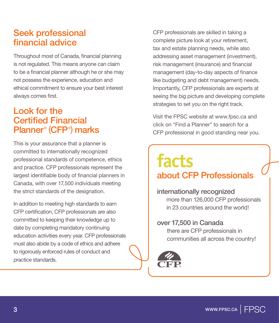#### Seek professional financial advice

Throughout most of Canada, financial planning is not regulated. This means anyone can claim to be a financial planner although he or she may not possess the experience, education and ethical commitment to ensure your best interest always comes first.

#### Look for the Certified Financial Planner® (CFP® ) marks

This is your assurance that a planner is committed to internationally recognized professional standards of competence, ethics and practice. CFP professionals represent the largest identifiable body of financial planners in Canada, with over 17,500 individuals meeting the strict standards of the designation.

In addition to meeting high standards to earn CFP certification, CFP professionals are also committed to keeping their knowledge up to date by completing mandatory continuing education activities every year. CFP professionals must also abide by a code of ethics and adhere to rigorously enforced rules of conduct and practice standards.

CFP professionals are skilled in taking a complete picture look at your retirement, tax and estate planning needs, while also addressing asset management (investment), risk management (insurance) and financial management (day-to-day aspects of finance like budgeting and debt management) needs. Importantly, CFP professionals are experts at seeing the big picture and developing complete strategies to set you on the right track.

Visit the FPSC website at www.fpsc.ca and click on "Find a Planner" to search for a CFP professional in good standing near you.

### **facts**  about CFP Professionals

internationally recognized more than 126,000 CFP professionals in 23 countries around the world!

#### over 17,500 in Canada

there are CFP professionals in communities all across the country!

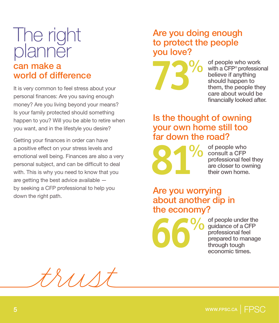#### The right planner can make a world of difference

It is very common to feel stress about your personal finances: Are you saving enough money? Are you living beyond your means? Is your family protected should something happen to you? Will you be able to retire when you want, and in the lifestyle you desire?

Getting your finances in order can have a positive effect on your stress levels and emotional well being. Finances are also a very personal subject, and can be difficult to deal with. This is why you need to know that you are getting the best advice available by seeking a CFP professional to help you down the right path.

#### Are you doing enough to protect the people you love?



of people who work with a CFP® professional believe if anything should happen to them, the people they care about would be financially looked after.

#### Is the thought of owning your own home still too far down the road?

 **81**%

of people who consult a CFP professional feel they are closer to owning their own home.

#### Are you worrying about another dip in the economy?

 **66**%

of people under the guidance of a CFP professional feel prepared to manage through tough economic times.

 $111$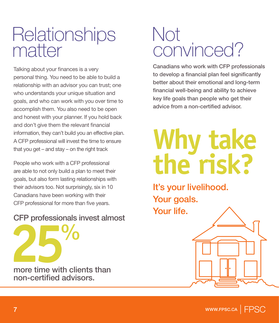### **Relationships** matter

Talking about your finances is a very personal thing. You need to be able to build a relationship with an advisor you can trust; one who understands your unique situation and goals, and who can work with you over time to accomplish them. You also need to be open and honest with your planner. If you hold back and don't give them the relevant financial information, they can't build you an effective plan. A CFP professional will invest the time to ensure that you get – and stay – on the right track

People who work with a CFP professional are able to not only build a plan to meet their goals, but also form lasting relationships with their advisors too. Not surprisingly, six in 10 Canadians have been working with their CFP professional for more than five years.

#### CFP professionals invest almost

**255 Mais Investigant**<br>
more time with clients than non-certified advisors.

### Not convinced?

Canadians who work with CFP professionals to develop a financial plan feel significantly better about their emotional and long-term financial well-being and ability to achieve key life goals than people who get their advice from a non-certified advisor.

## **Why take the risk?**

It's your livelihood. Your goals. Your life.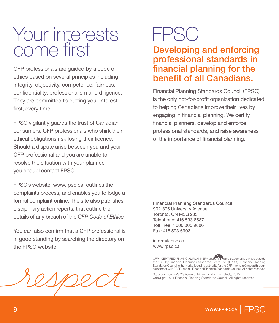### Your interests come first

CFP professionals are guided by a code of ethics based on several principles including integrity, objectivity, competence, fairness, confidentiality, professionalism and diligence. They are committed to putting your interest first, every time.

FPSC vigilantly guards the trust of Canadian consumers. CFP professionals who shirk their ethical obligations risk losing their licence. Should a dispute arise between you and your CFP professional and you are unable to resolve the situation with your planner, you should contact FPSC.

FPSC's website, www.fpsc.ca, outlines the complaints process, and enables you to lodge a formal complaint online. The site also publishes disciplinary action reports, that outline the details of any breach of the *CFP Code of Ethics.*

You can also confirm that a CFP professional is in good standing by searching the directory on the FPSC website.

### FPSC

#### Developing and enforcing professional standards in financial planning for the benefit of all Canadians.

Financial Planning Standards Council (FPSC) is the only not-for-profit organization dedicated to helping Canadians improve their lives by engaging in financial planning. We certify financial planners, develop and enforce professional standards, and raise awareness of the importance of financial planning.

Financial Planning Standards Council 902-375 University Avenue Toronto, ON M5G 2J5 Telephone: 416 593 8587 Toll Free: 1 800 305 9886 Fax: 416 593 6903

inform@fpsc.ca www.fpsc.ca

CFP®, CERTIFIED FINANCIAL PLANNER® and CFP® are trademarks owned outside<br>the U.S. by Financial Planning Standards Board Ltd. (FPSB). Financial Planning<br>Standards Councilisthe marks licensing authority for the CFP marks in

Statistics from FPSC's Value of Financial Planning study, 2010. Copyright 2011 Financial Planning Standards Council. All rights reserved.